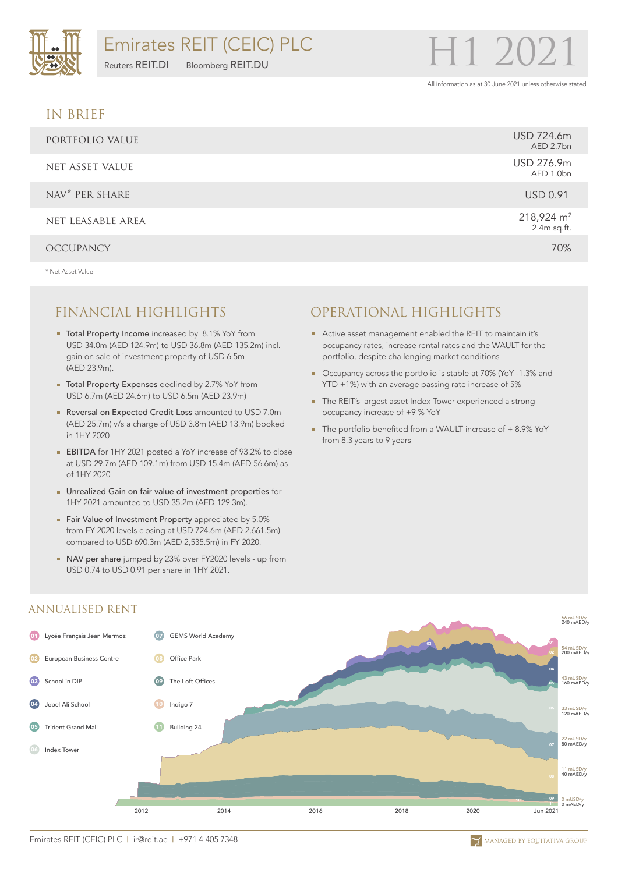### IN BRIEF

| PORTFOLIO VALUE   | USD 724.6m<br>AED 2.7bn     |
|-------------------|-----------------------------|
| NET ASSET VALUE   | USD 276.9m<br>AED 1.0bn     |
| NAV* PER SHARE    | <b>USD 0.91</b>             |
| NET LEASABLE AREA | 218,924 $m2$<br>2.4m sq.ft. |
| <b>OCCUPANCY</b>  | 70%                         |

\* Net Asset Value

- Total Property Income increased by 8.1% YoY from USD 34.0m (AED 124.9m) to USD 36.8m (AED 135.2m) incl. gain on sale of investment property of USD 6.5m (AED 23.9m).
- Total Property Expenses declined by 2.7% YoY from USD 6.7m (AED 24.6m) to USD 6.5m (AED 23.9m)
- Reversal on Expected Credit Loss amounted to USD 7.0m (AED 25.7m) v/s a charge of USD 3.8m (AED 13.9m) booked in 1HY 2020
- **EBITDA** for 1HY 2021 posted a YoY increase of 93.2% to close at USD 29.7m (AED 109.1m) from USD 15.4m (AED 56.6m) as of 1HY 2020
- Unrealized Gain on fair value of investment properties for 1HY 2021 amounted to USD 35.2m (AED 129.3m).
- Fair Value of Investment Property appreciated by 5.0% from FY 2020 levels closing at USD 724.6m (AED 2,661.5m) compared to USD 690.3m (AED 2,535.5m) in FY 2020.
- NAV per share jumped by 23% over FY2020 levels up from USD 0.74 to USD 0.91 per share in 1HY 2021.

# FINANCIAL HIGHLIGHTS OPERATIONAL HIGHLIGHTS

- Active asset management enabled the REIT to maintain it's occupancy rates, increase rental rates and the WAULT for the portfolio, despite challenging market conditions
- Occupancy across the portfolio is stable at 70% (YoY -1.3% and m. YTD +1%) with an average passing rate increase of 5%
- The REIT's largest asset Index Tower experienced a strong occupancy increase of +9 % YoY
- The portfolio benefited from a WAULT increase of + 8.9% YoY from 8.3 years to 9 years